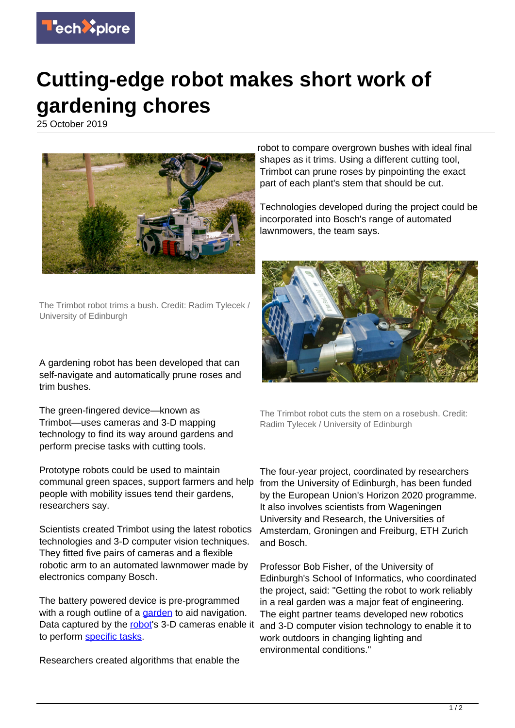

## **Cutting-edge robot makes short work of gardening chores**

25 October 2019



The Trimbot robot trims a bush. Credit: Radim Tylecek / University of Edinburgh

A gardening robot has been developed that can self-navigate and automatically prune roses and trim bushes.

The green-fingered device—known as Trimbot—uses cameras and 3-D mapping technology to find its way around gardens and perform precise tasks with cutting tools.

Prototype robots could be used to maintain communal green spaces, support farmers and help people with mobility issues tend their gardens, researchers say.

Scientists created Trimbot using the latest robotics technologies and 3-D computer vision techniques. They fitted five pairs of cameras and a flexible robotic arm to an automated lawnmower made by electronics company Bosch.

The battery powered device is pre-programmed with a rough outline of a [garden](https://techxplore.com/tags/garden/) to aid navigation. Data captured by the [robot](https://techxplore.com/tags/robot/)'s 3-D cameras enable it to perform [specific tasks.](https://techxplore.com/tags/specific+tasks/)

Researchers created algorithms that enable the

robot to compare overgrown bushes with ideal final shapes as it trims. Using a different cutting tool, Trimbot can prune roses by pinpointing the exact part of each plant's stem that should be cut.

Technologies developed during the project could be incorporated into Bosch's range of automated lawnmowers, the team says.



The Trimbot robot cuts the stem on a rosebush. Credit: Radim Tylecek / University of Edinburgh

The four-year project, coordinated by researchers from the University of Edinburgh, has been funded by the European Union's Horizon 2020 programme. It also involves scientists from Wageningen University and Research, the Universities of Amsterdam, Groningen and Freiburg, ETH Zurich and Bosch.

Professor Bob Fisher, of the University of Edinburgh's School of Informatics, who coordinated the project, said: "Getting the robot to work reliably in a real garden was a major feat of engineering. The eight partner teams developed new robotics and 3-D computer vision technology to enable it to work outdoors in changing lighting and environmental conditions."